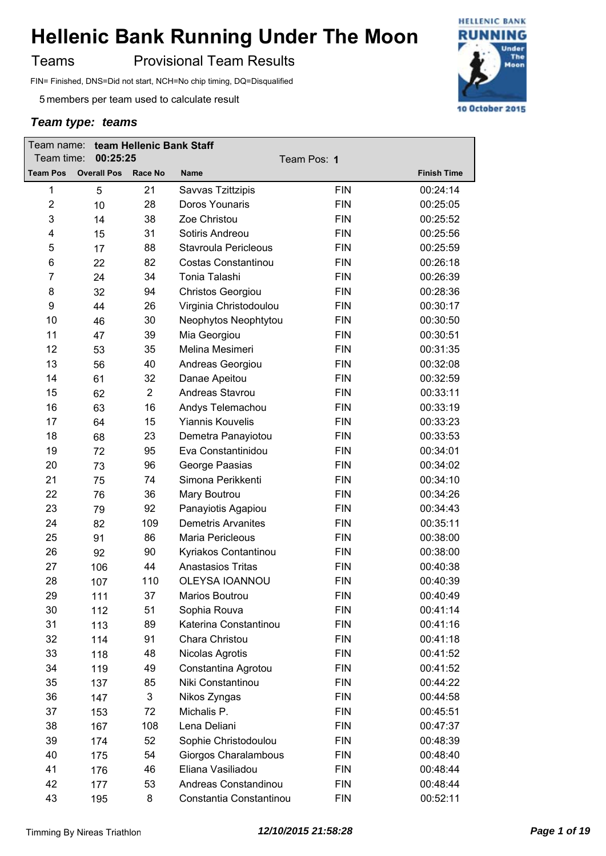Teams **Provisional Team Results** 

FIN= Finished, DNS=Did not start, NCH=No chip timing, DQ=Disqualified

5 members per team used to calculate result

| Team name:<br>Team time:<br>00:25:25 |                    | team Hellenic Bank Staff<br>Team Pos: 1 |                           |            |                    |
|--------------------------------------|--------------------|-----------------------------------------|---------------------------|------------|--------------------|
| <b>Team Pos</b>                      | <b>Overall Pos</b> | Race No                                 | <b>Name</b>               |            | <b>Finish Time</b> |
| 1                                    | 5                  | 21                                      | Savvas Tzittzipis         | <b>FIN</b> | 00:24:14           |
| $\overline{2}$                       | 10                 | 28                                      | Doros Younaris            | <b>FIN</b> | 00:25:05           |
| 3                                    | 14                 | 38                                      | Zoe Christou              | <b>FIN</b> | 00:25:52           |
| 4                                    | 15                 | 31                                      | Sotiris Andreou           | <b>FIN</b> | 00:25:56           |
| 5                                    | 17                 | 88                                      | Stavroula Pericleous      | <b>FIN</b> | 00:25:59           |
| 6                                    | 22                 | 82                                      | Costas Constantinou       | <b>FIN</b> | 00:26:18           |
| $\overline{7}$                       | 24                 | 34                                      | Tonia Talashi             | <b>FIN</b> | 00:26:39           |
| 8                                    | 32                 | 94                                      | <b>Christos Georgiou</b>  | <b>FIN</b> | 00:28:36           |
| 9                                    | 44                 | 26                                      | Virginia Christodoulou    | <b>FIN</b> | 00:30:17           |
| 10                                   | 46                 | 30                                      | Neophytos Neophtytou      | <b>FIN</b> | 00:30:50           |
| 11                                   | 47                 | 39                                      | Mia Georgiou              | <b>FIN</b> | 00:30:51           |
| 12                                   | 53                 | 35                                      | Melina Mesimeri           | <b>FIN</b> | 00:31:35           |
| 13                                   | 56                 | 40                                      | Andreas Georgiou          | <b>FIN</b> | 00:32:08           |
| 14                                   | 61                 | 32                                      | Danae Apeitou             | <b>FIN</b> | 00:32:59           |
| 15                                   | 62                 | $\overline{2}$                          | Andreas Stavrou           | <b>FIN</b> | 00:33:11           |
| 16                                   | 63                 | 16                                      | Andys Telemachou          | <b>FIN</b> | 00:33:19           |
| 17                                   | 64                 | 15                                      | <b>Yiannis Kouvelis</b>   | <b>FIN</b> | 00:33:23           |
| 18                                   | 68                 | 23                                      | Demetra Panayiotou        | <b>FIN</b> | 00:33:53           |
| 19                                   | 72                 | 95                                      | Eva Constantinidou        | <b>FIN</b> | 00:34:01           |
| 20                                   | 73                 | 96                                      | George Paasias            | <b>FIN</b> | 00:34:02           |
| 21                                   | 75                 | 74                                      | Simona Perikkenti         | <b>FIN</b> | 00:34:10           |
| 22                                   | 76                 | 36                                      | Mary Boutrou              | <b>FIN</b> | 00:34:26           |
| 23                                   | 79                 | 92                                      | Panayiotis Agapiou        | <b>FIN</b> | 00:34:43           |
| 24                                   | 82                 | 109                                     | <b>Demetris Arvanites</b> | <b>FIN</b> | 00:35:11           |
| 25                                   | 91                 | 86                                      | Maria Pericleous          | <b>FIN</b> | 00:38:00           |
| 26                                   | 92                 | 90                                      | Kyriakos Contantinou      | <b>FIN</b> | 00:38:00           |
| 27                                   | 106                | 44                                      | <b>Anastasios Tritas</b>  | <b>FIN</b> | 00:40:38           |
| 28                                   | 107                | 110                                     | OLEYSA IOANNOU            | <b>FIN</b> | 00:40:39           |
| 29                                   | 111                | 37                                      | Marios Boutrou            | <b>FIN</b> | 00:40:49           |
| 30                                   | 112                | 51                                      | Sophia Rouva              | <b>FIN</b> | 00:41:14           |
| 31                                   | 113                | 89                                      | Katerina Constantinou     | <b>FIN</b> | 00:41:16           |
| 32                                   | 114                | 91                                      | Chara Christou            | <b>FIN</b> | 00:41:18           |
| 33                                   | 118                | 48                                      | Nicolas Agrotis           | <b>FIN</b> | 00:41:52           |
| 34                                   | 119                | 49                                      | Constantina Agrotou       | <b>FIN</b> | 00:41:52           |
| 35                                   | 137                | 85                                      | Niki Constantinou         | <b>FIN</b> | 00:44:22           |
| 36                                   | 147                | 3                                       | Nikos Zyngas              | <b>FIN</b> | 00:44:58           |
| 37                                   | 153                | 72                                      | Michalis P.               | <b>FIN</b> | 00:45:51           |
| 38                                   | 167                | 108                                     | Lena Deliani              | <b>FIN</b> | 00:47:37           |
| 39                                   | 174                | 52                                      | Sophie Christodoulou      | <b>FIN</b> | 00:48:39           |
| 40                                   | 175                | 54                                      | Giorgos Charalambous      | <b>FIN</b> | 00:48:40           |
| 41                                   | 176                | 46                                      | Eliana Vasiliadou         | <b>FIN</b> | 00:48:44           |
| 42                                   | 177                | 53                                      | Andreas Constandinou      | <b>FIN</b> | 00:48:44           |
| 43                                   | 195                | 8                                       | Constantia Constantinou   | <b>FIN</b> | 00:52:11           |

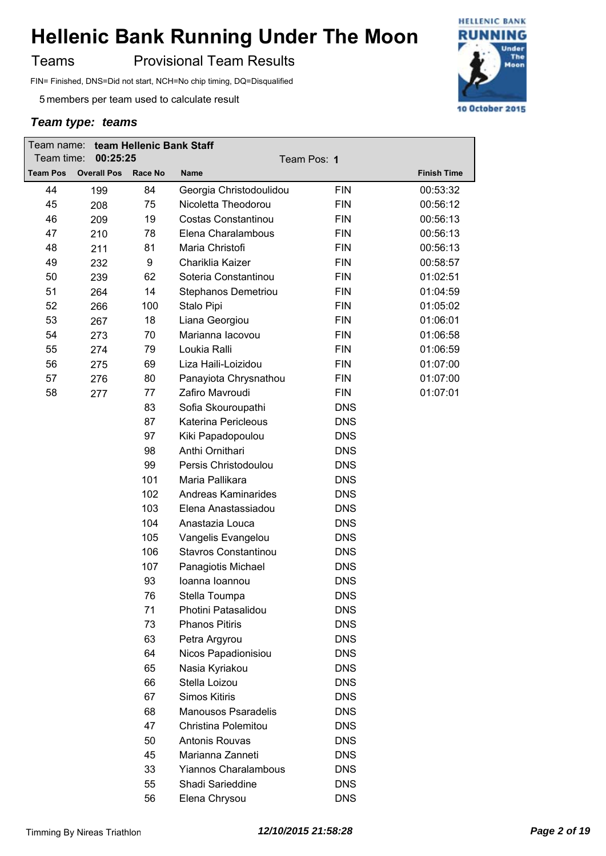Teams **Provisional Team Results** 

FIN= Finished, DNS=Did not start, NCH=No chip timing, DQ=Disqualified

5 members per team used to calculate result

| Team time:      | Team name: team Hellenic Bank Staff<br>00:25:25 |                |                             | Team Pos: 1 |                    |
|-----------------|-------------------------------------------------|----------------|-----------------------------|-------------|--------------------|
| <b>Team Pos</b> | <b>Overall Pos</b>                              | <b>Race No</b> | <b>Name</b>                 |             | <b>Finish Time</b> |
| 44              | 199                                             | 84             | Georgia Christodoulidou     | <b>FIN</b>  | 00:53:32           |
| 45              | 208                                             | 75             | Nicoletta Theodorou         | <b>FIN</b>  | 00:56:12           |
| 46              | 209                                             | 19             | Costas Constantinou         | <b>FIN</b>  | 00:56:13           |
| 47              | 210                                             | 78             | Elena Charalambous          | <b>FIN</b>  | 00:56:13           |
| 48              | 211                                             | 81             | Maria Christofi             | <b>FIN</b>  | 00:56:13           |
| 49              | 232                                             | 9              | Chariklia Kaizer            | <b>FIN</b>  | 00:58:57           |
| 50              | 239                                             | 62             | Soteria Constantinou        | <b>FIN</b>  | 01:02:51           |
| 51              | 264                                             | 14             | Stephanos Demetriou         | <b>FIN</b>  | 01:04:59           |
| 52              | 266                                             | 100            | Stalo Pipi                  | <b>FIN</b>  | 01:05:02           |
| 53              | 267                                             | 18             | Liana Georgiou              | <b>FIN</b>  | 01:06:01           |
| 54              | 273                                             | 70             | Marianna lacovou            | <b>FIN</b>  | 01:06:58           |
| 55              | 274                                             | 79             | Loukia Ralli                | <b>FIN</b>  | 01:06:59           |
| 56              | 275                                             | 69             | Liza Haili-Loizidou         | <b>FIN</b>  | 01:07:00           |
| 57              | 276                                             | 80             | Panayiota Chrysnathou       | <b>FIN</b>  | 01:07:00           |
| 58              | 277                                             | 77             | Zafiro Mavroudi             | <b>FIN</b>  | 01:07:01           |
|                 |                                                 | 83             | Sofia Skouroupathi          | <b>DNS</b>  |                    |
|                 |                                                 | 87             | Katerina Pericleous         | <b>DNS</b>  |                    |
|                 |                                                 | 97             | Kiki Papadopoulou           | <b>DNS</b>  |                    |
|                 |                                                 | 98             | Anthi Ornithari             | <b>DNS</b>  |                    |
|                 |                                                 | 99             | Persis Christodoulou        | <b>DNS</b>  |                    |
|                 |                                                 | 101            | Maria Pallikara             | <b>DNS</b>  |                    |
|                 |                                                 | 102            | <b>Andreas Kaminarides</b>  | <b>DNS</b>  |                    |
|                 |                                                 | 103            | Elena Anastassiadou         | <b>DNS</b>  |                    |
|                 |                                                 | 104            | Anastazia Louca             | <b>DNS</b>  |                    |
|                 |                                                 | 105            | Vangelis Evangelou          | <b>DNS</b>  |                    |
|                 |                                                 | 106            | Stavros Constantinou        | <b>DNS</b>  |                    |
|                 |                                                 | 107            | Panagiotis Michael          | <b>DNS</b>  |                    |
|                 |                                                 | 93             | Ioanna Ioannou              | <b>DNS</b>  |                    |
|                 |                                                 | 76             | Stella Toumpa               | <b>DNS</b>  |                    |
|                 |                                                 | 71             | Photini Patasalidou         | <b>DNS</b>  |                    |
|                 |                                                 | 73             | <b>Phanos Pitiris</b>       | <b>DNS</b>  |                    |
|                 |                                                 | 63             | Petra Argyrou               | <b>DNS</b>  |                    |
|                 |                                                 | 64             | Nicos Papadionisiou         | <b>DNS</b>  |                    |
|                 |                                                 | 65             | Nasia Kyriakou              | <b>DNS</b>  |                    |
|                 |                                                 | 66             | Stella Loizou               | <b>DNS</b>  |                    |
|                 |                                                 | 67             | <b>Simos Kitiris</b>        | <b>DNS</b>  |                    |
|                 |                                                 | 68             | <b>Manousos Psaradelis</b>  | <b>DNS</b>  |                    |
|                 |                                                 | 47             | Christina Polemitou         | <b>DNS</b>  |                    |
|                 |                                                 | 50             | Antonis Rouvas              | <b>DNS</b>  |                    |
|                 |                                                 | 45             | Marianna Zanneti            | <b>DNS</b>  |                    |
|                 |                                                 | 33             | <b>Yiannos Charalambous</b> | <b>DNS</b>  |                    |
|                 |                                                 | 55             | Shadi Sarieddine            | <b>DNS</b>  |                    |
|                 |                                                 | 56             | Elena Chrysou               | <b>DNS</b>  |                    |

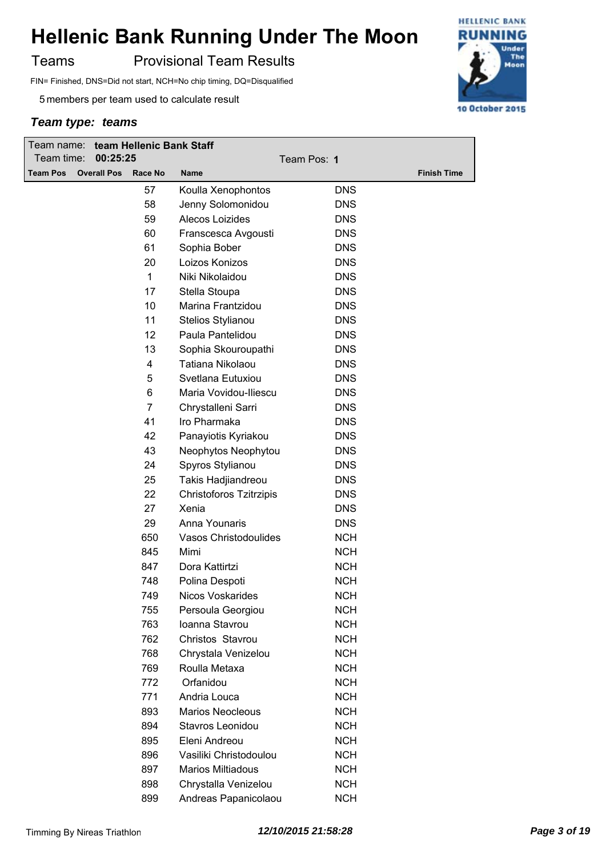Teams **Provisional Team Results** 

FIN= Finished, DNS=Did not start, NCH=No chip timing, DQ=Disqualified

5 members per team used to calculate result

| team Hellenic Bank Staff<br>Team name:<br>Team time:<br>00:25:25 |                    |         | Team Pos: 1              |            |                    |
|------------------------------------------------------------------|--------------------|---------|--------------------------|------------|--------------------|
| <b>Team Pos</b>                                                  | <b>Overall Pos</b> | Race No | <b>Name</b>              |            | <b>Finish Time</b> |
|                                                                  |                    | 57      | Koulla Xenophontos       | <b>DNS</b> |                    |
|                                                                  |                    | 58      | Jenny Solomonidou        | <b>DNS</b> |                    |
|                                                                  |                    | 59      | Alecos Loizides          | <b>DNS</b> |                    |
|                                                                  |                    | 60      | Franscesca Avgousti      | <b>DNS</b> |                    |
|                                                                  |                    | 61      | Sophia Bober             | <b>DNS</b> |                    |
|                                                                  |                    | 20      | Loizos Konizos           | <b>DNS</b> |                    |
|                                                                  |                    | 1       | Niki Nikolaidou          | <b>DNS</b> |                    |
|                                                                  |                    | 17      | Stella Stoupa            | <b>DNS</b> |                    |
|                                                                  |                    | 10      | Marina Frantzidou        | <b>DNS</b> |                    |
|                                                                  |                    | 11      | Stelios Stylianou        | <b>DNS</b> |                    |
|                                                                  |                    | 12      | Paula Pantelidou         | <b>DNS</b> |                    |
|                                                                  |                    | 13      | Sophia Skouroupathi      | <b>DNS</b> |                    |
|                                                                  |                    | 4       | Tatiana Nikolaou         | <b>DNS</b> |                    |
|                                                                  |                    | 5       | Svetlana Eutuxiou        | <b>DNS</b> |                    |
|                                                                  |                    | 6       | Maria Vovidou-Iliescu    | <b>DNS</b> |                    |
|                                                                  |                    | 7       | Chrystalleni Sarri       | <b>DNS</b> |                    |
|                                                                  |                    | 41      | Iro Pharmaka             | <b>DNS</b> |                    |
|                                                                  |                    | 42      | Panayiotis Kyriakou      | <b>DNS</b> |                    |
|                                                                  |                    | 43      | Neophytos Neophytou      | <b>DNS</b> |                    |
|                                                                  |                    | 24      | Spyros Stylianou         | <b>DNS</b> |                    |
|                                                                  |                    | 25      | Takis Hadjiandreou       | <b>DNS</b> |                    |
|                                                                  |                    | 22      | Christoforos Tzitrzipis  | <b>DNS</b> |                    |
|                                                                  |                    | 27      | Xenia                    | <b>DNS</b> |                    |
|                                                                  |                    | 29      | Anna Younaris            | <b>DNS</b> |                    |
|                                                                  |                    | 650     | Vasos Christodoulides    | <b>NCH</b> |                    |
|                                                                  |                    | 845     | Mimi                     | <b>NCH</b> |                    |
|                                                                  |                    | 847     | Dora Kattirtzi           | <b>NCH</b> |                    |
|                                                                  |                    | 748     | Polina Despoti           | <b>NCH</b> |                    |
|                                                                  |                    | 749     | Nicos Voskarides         | <b>NCH</b> |                    |
|                                                                  |                    | 755     | Persoula Georgiou        | <b>NCH</b> |                    |
|                                                                  |                    | 763     | Ioanna Stavrou           | <b>NCH</b> |                    |
|                                                                  |                    | 762     | Christos Stavrou         | <b>NCH</b> |                    |
|                                                                  |                    | 768     | Chrystala Venizelou      | <b>NCH</b> |                    |
|                                                                  |                    | 769     | Roulla Metaxa            | <b>NCH</b> |                    |
|                                                                  |                    | 772     | Orfanidou                | <b>NCH</b> |                    |
|                                                                  |                    | 771     | Andria Louca             | <b>NCH</b> |                    |
|                                                                  |                    | 893     | <b>Marios Neocleous</b>  | <b>NCH</b> |                    |
|                                                                  |                    | 894     | Stavros Leonidou         | <b>NCH</b> |                    |
|                                                                  |                    | 895     | Eleni Andreou            | <b>NCH</b> |                    |
|                                                                  |                    | 896     | Vasiliki Christodoulou   | <b>NCH</b> |                    |
|                                                                  |                    | 897     | <b>Marios Miltiadous</b> | <b>NCH</b> |                    |
|                                                                  |                    | 898     | Chrystalla Venizelou     | <b>NCH</b> |                    |
|                                                                  |                    | 899     | Andreas Papanicolaou     | <b>NCH</b> |                    |

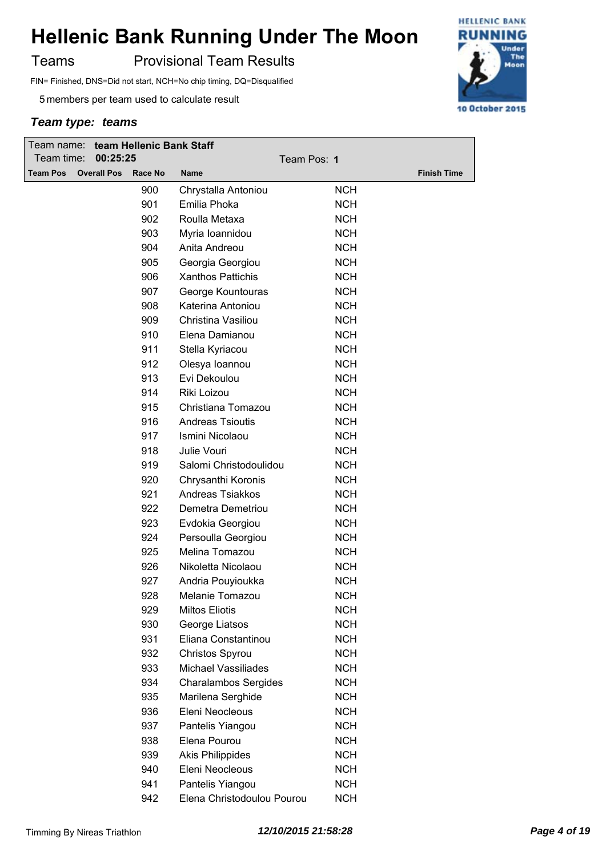Teams **Provisional Team Results** 

FIN= Finished, DNS=Did not start, NCH=No chip timing, DQ=Disqualified

5 members per team used to calculate result

| Team name: team Hellenic Bank Staff<br>Team time:<br>00:25:25 |                    |            | Team Pos: 1                                  |            |                    |
|---------------------------------------------------------------|--------------------|------------|----------------------------------------------|------------|--------------------|
| <b>Team Pos</b>                                               | <b>Overall Pos</b> | Race No    | <b>Name</b>                                  |            | <b>Finish Time</b> |
|                                                               |                    | 900        |                                              | <b>NCH</b> |                    |
|                                                               |                    | 901        | Chrystalla Antoniou<br>Emilia Phoka          | <b>NCH</b> |                    |
|                                                               |                    | 902        | Roulla Metaxa                                | <b>NCH</b> |                    |
|                                                               |                    |            |                                              | <b>NCH</b> |                    |
|                                                               |                    | 903<br>904 | Myria Ioannidou                              | <b>NCH</b> |                    |
|                                                               |                    |            | Anita Andreou                                |            |                    |
|                                                               |                    | 905        | Georgia Georgiou<br><b>Xanthos Pattichis</b> | <b>NCH</b> |                    |
|                                                               |                    | 906        |                                              | <b>NCH</b> |                    |
|                                                               |                    | 907        | George Kountouras                            | <b>NCH</b> |                    |
|                                                               |                    | 908        | Katerina Antoniou                            | <b>NCH</b> |                    |
|                                                               |                    | 909        | Christina Vasiliou                           | <b>NCH</b> |                    |
|                                                               |                    | 910        | Elena Damianou                               | <b>NCH</b> |                    |
|                                                               |                    | 911        | Stella Kyriacou                              | <b>NCH</b> |                    |
|                                                               |                    | 912        | Olesya Ioannou                               | <b>NCH</b> |                    |
|                                                               |                    | 913        | Evi Dekoulou                                 | <b>NCH</b> |                    |
|                                                               |                    | 914        | Riki Loizou                                  | <b>NCH</b> |                    |
|                                                               |                    | 915        | Christiana Tomazou                           | <b>NCH</b> |                    |
|                                                               |                    | 916        | <b>Andreas Tsioutis</b>                      | <b>NCH</b> |                    |
|                                                               |                    | 917        | Ismini Nicolaou                              | <b>NCH</b> |                    |
|                                                               |                    | 918        | Julie Vouri                                  | <b>NCH</b> |                    |
|                                                               |                    | 919        | Salomi Christodoulidou                       | <b>NCH</b> |                    |
|                                                               |                    | 920        | Chrysanthi Koronis                           | <b>NCH</b> |                    |
|                                                               |                    | 921        | <b>Andreas Tsiakkos</b>                      | <b>NCH</b> |                    |
|                                                               |                    | 922        | Demetra Demetriou                            | <b>NCH</b> |                    |
|                                                               |                    | 923        | Evdokia Georgiou                             | <b>NCH</b> |                    |
|                                                               |                    | 924        | Persoulla Georgiou                           | <b>NCH</b> |                    |
|                                                               |                    | 925        | Melina Tomazou                               | <b>NCH</b> |                    |
|                                                               |                    | 926        | Nikoletta Nicolaou                           | <b>NCH</b> |                    |
|                                                               |                    | 927        | Andria Pouyioukka                            | <b>NCH</b> |                    |
|                                                               |                    | 928        | Melanie Tomazou                              | <b>NCH</b> |                    |
|                                                               |                    | 929        | <b>Miltos Eliotis</b>                        | <b>NCH</b> |                    |
|                                                               |                    | 930        | George Liatsos                               | <b>NCH</b> |                    |
|                                                               |                    | 931        | Eliana Constantinou                          | <b>NCH</b> |                    |
|                                                               |                    | 932        | Christos Spyrou                              | <b>NCH</b> |                    |
|                                                               |                    | 933        | Michael Vassiliades                          | <b>NCH</b> |                    |
|                                                               |                    | 934        | <b>Charalambos Sergides</b>                  | <b>NCH</b> |                    |
|                                                               |                    | 935        | Marilena Serghide                            | <b>NCH</b> |                    |
|                                                               |                    | 936        | Eleni Neocleous                              | <b>NCH</b> |                    |
|                                                               |                    | 937        | Pantelis Yiangou                             | <b>NCH</b> |                    |
|                                                               |                    | 938        | Elena Pourou                                 | <b>NCH</b> |                    |
|                                                               |                    | 939        | <b>Akis Philippides</b>                      | <b>NCH</b> |                    |
|                                                               |                    | 940        | Eleni Neocleous                              | <b>NCH</b> |                    |
|                                                               |                    | 941        | Pantelis Yiangou                             | <b>NCH</b> |                    |
|                                                               |                    | 942        | Elena Christodoulou Pourou                   | <b>NCH</b> |                    |
|                                                               |                    |            |                                              |            |                    |

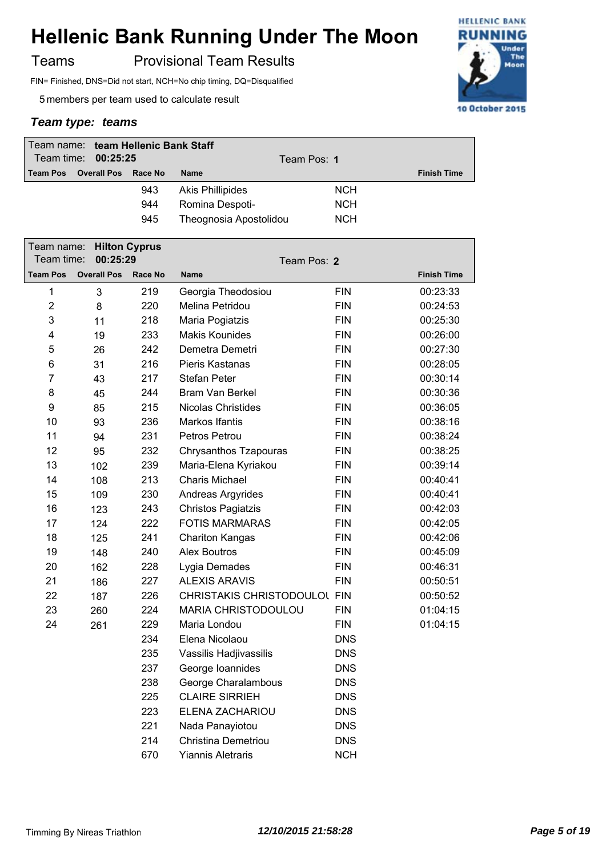Teams **Provisional Team Results** 

FIN= Finished, DNS=Did not start, NCH=No chip timing, DQ=Disqualified

5 members per team used to calculate result

| Team name: team Hellenic Bank Staff<br>Team time: 00:25:25 |                    |         | Team Pos: 1             |            |                    |
|------------------------------------------------------------|--------------------|---------|-------------------------|------------|--------------------|
| <b>Team Pos</b>                                            | <b>Overall Pos</b> | Race No | <b>Name</b>             |            | <b>Finish Time</b> |
|                                                            |                    | 943     | <b>Akis Phillipides</b> | <b>NCH</b> |                    |
|                                                            |                    | 944     | Romina Despoti-         | <b>NCH</b> |                    |
|                                                            |                    | 945     | Theognosia Apostolidou  | <b>NCH</b> |                    |

| Team name:<br><b>Hilton Cyprus</b><br>Team time:<br>00:25:29 |                    |         | Team Pos: 2                  |            |                    |  |
|--------------------------------------------------------------|--------------------|---------|------------------------------|------------|--------------------|--|
| <b>Team Pos</b>                                              | <b>Overall Pos</b> | Race No | <b>Name</b>                  |            | <b>Finish Time</b> |  |
| 1                                                            | 3                  | 219     | Georgia Theodosiou           | <b>FIN</b> | 00:23:33           |  |
| $\overline{2}$                                               | 8                  | 220     | Melina Petridou              | <b>FIN</b> | 00:24:53           |  |
| 3                                                            | 11                 | 218     | Maria Pogiatzis              | <b>FIN</b> | 00:25:30           |  |
| 4                                                            | 19                 | 233     | <b>Makis Kounides</b>        | <b>FIN</b> | 00:26:00           |  |
| 5                                                            | 26                 | 242     | Demetra Demetri              | <b>FIN</b> | 00:27:30           |  |
| 6                                                            | 31                 | 216     | Pieris Kastanas              | <b>FIN</b> | 00:28:05           |  |
| $\overline{7}$                                               | 43                 | 217     | <b>Stefan Peter</b>          | <b>FIN</b> | 00:30:14           |  |
| 8                                                            | 45                 | 244     | Bram Van Berkel              | <b>FIN</b> | 00:30:36           |  |
| 9                                                            | 85                 | 215     | <b>Nicolas Christides</b>    | <b>FIN</b> | 00:36:05           |  |
| 10                                                           | 93                 | 236     | Markos Ifantis               | <b>FIN</b> | 00:38:16           |  |
| 11                                                           | 94                 | 231     | Petros Petrou                | <b>FIN</b> | 00:38:24           |  |
| 12                                                           | 95                 | 232     | Chrysanthos Tzapouras        | <b>FIN</b> | 00:38:25           |  |
| 13                                                           | 102                | 239     | Maria-Elena Kyriakou         | <b>FIN</b> | 00:39:14           |  |
| 14                                                           | 108                | 213     | <b>Charis Michael</b>        | <b>FIN</b> | 00:40:41           |  |
| 15                                                           | 109                | 230     | Andreas Argyrides            | <b>FIN</b> | 00:40:41           |  |
| 16                                                           | 123                | 243     | <b>Christos Pagiatzis</b>    | <b>FIN</b> | 00:42:03           |  |
| 17                                                           | 124                | 222     | <b>FOTIS MARMARAS</b>        | <b>FIN</b> | 00:42:05           |  |
| 18                                                           | 125                | 241     | <b>Chariton Kangas</b>       | <b>FIN</b> | 00:42:06           |  |
| 19                                                           | 148                | 240     | <b>Alex Boutros</b>          | <b>FIN</b> | 00:45:09           |  |
| 20                                                           | 162                | 228     | Lygia Demades                | <b>FIN</b> | 00:46:31           |  |
| 21                                                           | 186                | 227     | <b>ALEXIS ARAVIS</b>         | <b>FIN</b> | 00:50:51           |  |
| 22                                                           | 187                | 226     | CHRISTAKIS CHRISTODOULOL FIN |            | 00:50:52           |  |
| 23                                                           | 260                | 224     | MARIA CHRISTODOULOU          | <b>FIN</b> | 01:04:15           |  |
| 24                                                           | 261                | 229     | Maria Londou                 | <b>FIN</b> | 01:04:15           |  |
|                                                              |                    | 234     | Elena Nicolaou               | <b>DNS</b> |                    |  |
|                                                              |                    | 235     | Vassilis Hadjivassilis       | <b>DNS</b> |                    |  |
|                                                              |                    | 237     | George Ioannides             | <b>DNS</b> |                    |  |
|                                                              |                    | 238     | George Charalambous          | <b>DNS</b> |                    |  |
|                                                              |                    | 225     | <b>CLAIRE SIRRIEH</b>        | <b>DNS</b> |                    |  |
|                                                              |                    | 223     | ELENA ZACHARIOU              | <b>DNS</b> |                    |  |
|                                                              |                    | 221     | Nada Panayiotou              | <b>DNS</b> |                    |  |
|                                                              |                    | 214     | Christina Demetriou          | <b>DNS</b> |                    |  |
|                                                              |                    | 670     | <b>Yiannis Aletraris</b>     | <b>NCH</b> |                    |  |

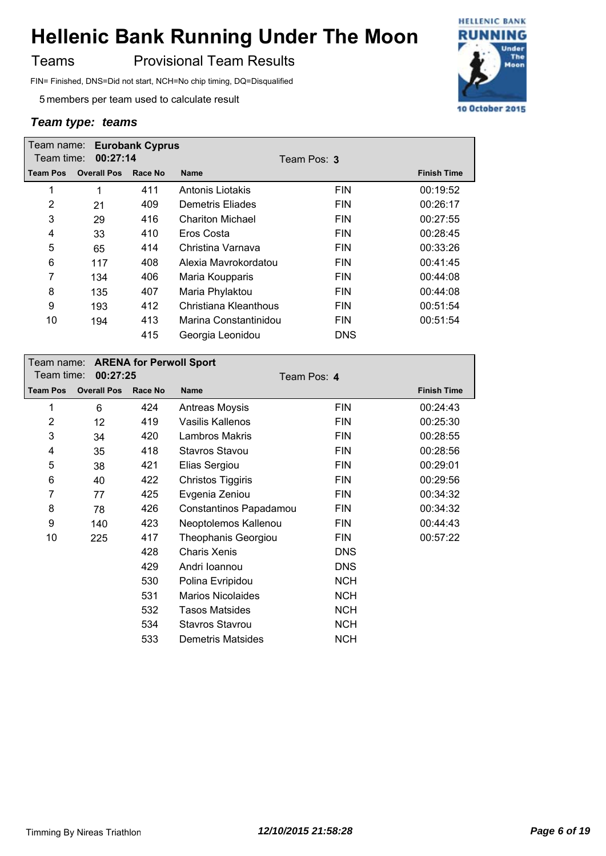Teams **Provisional Team Results** 

FIN= Finished, DNS=Did not start, NCH=No chip timing, DQ=Disqualified

5 members per team used to calculate result

|                 | <b>Eurobank Cyprus</b><br>Team name: |         |                         |            |                    |  |
|-----------------|--------------------------------------|---------|-------------------------|------------|--------------------|--|
| Team time:      | 00:27:14                             |         | Team Pos: 3             |            |                    |  |
| <b>Team Pos</b> | <b>Overall Pos</b>                   | Race No | <b>Name</b>             |            | <b>Finish Time</b> |  |
| 1               | 1                                    | 411     | Antonis Liotakis        | <b>FIN</b> | 00:19:52           |  |
| 2               | 21                                   | 409     | Demetris Eliades        | <b>FIN</b> | 00:26:17           |  |
| 3               | 29                                   | 416     | <b>Chariton Michael</b> | <b>FIN</b> | 00:27:55           |  |
| 4               | 33                                   | 410     | Eros Costa              | <b>FIN</b> | 00:28:45           |  |
| 5               | 65                                   | 414     | Christina Varnava       | <b>FIN</b> | 00:33:26           |  |
| 6               | 117                                  | 408     | Alexia Mavrokordatou    | <b>FIN</b> | 00:41:45           |  |
| 7               | 134                                  | 406     | Maria Koupparis         | <b>FIN</b> | 00:44:08           |  |
| 8               | 135                                  | 407     | Maria Phylaktou         | <b>FIN</b> | 00:44:08           |  |
| 9               | 193                                  | 412     | Christiana Kleanthous   | <b>FIN</b> | 00:51:54           |  |
| 10              | 194                                  | 413     | Marina Constantinidou   | <b>FIN</b> | 00:51:54           |  |
|                 |                                      | 415     | Georgia Leonidou        | <b>DNS</b> |                    |  |

|                 |                    |         | Team name: ARENA for Perwoll Sport |            |                    |  |  |
|-----------------|--------------------|---------|------------------------------------|------------|--------------------|--|--|
| Team time:      | 00:27:25           |         | Team Pos: 4                        |            |                    |  |  |
| <b>Team Pos</b> | <b>Overall Pos</b> | Race No | <b>Name</b>                        |            | <b>Finish Time</b> |  |  |
| 1               | 6                  | 424     | <b>Antreas Moysis</b>              | <b>FIN</b> | 00:24:43           |  |  |
| $\overline{2}$  | 12                 | 419     | Vasilis Kallenos                   | <b>FIN</b> | 00:25:30           |  |  |
| 3               | 34                 | 420     | Lambros Makris                     | <b>FIN</b> | 00:28:55           |  |  |
| 4               | 35                 | 418     | <b>Stavros Stavou</b>              | <b>FIN</b> | 00:28:56           |  |  |
| 5               | 38                 | 421     | Elias Sergiou                      | <b>FIN</b> | 00:29:01           |  |  |
| 6               | 40                 | 422     | Christos Tiggiris                  | <b>FIN</b> | 00:29:56           |  |  |
| 7               | 77                 | 425     | Evgenia Zeniou                     | <b>FIN</b> | 00:34:32           |  |  |
| 8               | 78                 | 426     | Constantinos Papadamou             | <b>FIN</b> | 00:34:32           |  |  |
| 9               | 140                | 423     | Neoptolemos Kallenou               | <b>FIN</b> | 00:44:43           |  |  |
| 10              | 225                | 417     | <b>Theophanis Georgiou</b>         | <b>FIN</b> | 00:57:22           |  |  |
|                 |                    | 428     | Charis Xenis                       | <b>DNS</b> |                    |  |  |
|                 |                    | 429     | Andri Ioannou                      | <b>DNS</b> |                    |  |  |
|                 |                    | 530     | Polina Evripidou                   | <b>NCH</b> |                    |  |  |
|                 |                    | 531     | <b>Marios Nicolaides</b>           | <b>NCH</b> |                    |  |  |
|                 |                    | 532     | <b>Tasos Matsides</b>              | <b>NCH</b> |                    |  |  |
|                 |                    | 534     | <b>Stavros Stavrou</b>             | <b>NCH</b> |                    |  |  |
|                 |                    | 533     | Demetris Matsides                  | <b>NCH</b> |                    |  |  |

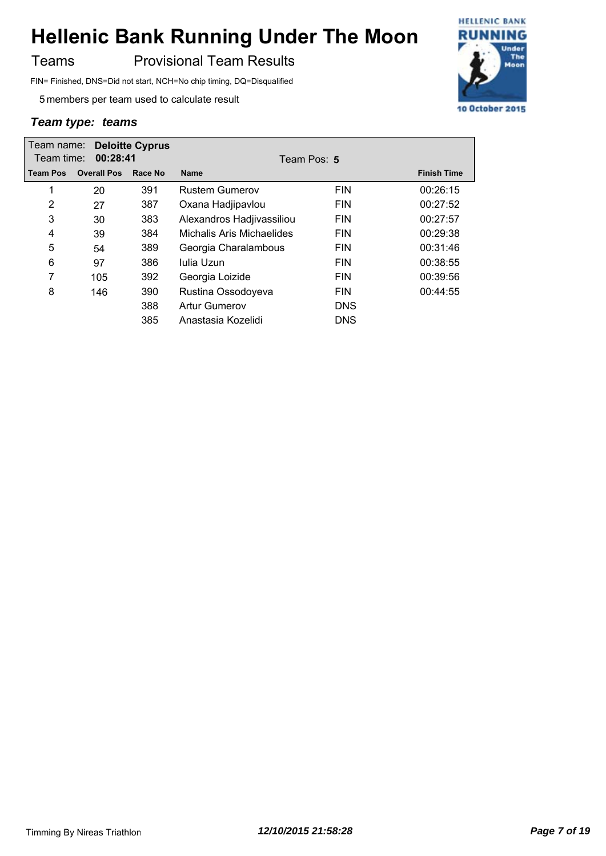### Teams **Provisional Team Results**

FIN= Finished, DNS=Did not start, NCH=No chip timing, DQ=Disqualified

5 members per team used to calculate result

| <b>Deloitte Cyprus</b><br>Team name:<br>Team time:<br>00:28:41 |                    |         | Team Pos: 5               |            |                    |  |  |
|----------------------------------------------------------------|--------------------|---------|---------------------------|------------|--------------------|--|--|
| <b>Team Pos</b>                                                | <b>Overall Pos</b> | Race No | <b>Name</b>               |            | <b>Finish Time</b> |  |  |
| 1                                                              | 20                 | 391     | <b>Rustem Gumerov</b>     | <b>FIN</b> | 00:26:15           |  |  |
| 2                                                              | 27                 | 387     | Oxana Hadjipavlou         | <b>FIN</b> | 00:27:52           |  |  |
| 3                                                              | 30                 | 383     | Alexandros Hadjivassiliou | <b>FIN</b> | 00:27:57           |  |  |
| 4                                                              | 39                 | 384     | Michalis Aris Michaelides | <b>FIN</b> | 00:29:38           |  |  |
| 5                                                              | 54                 | 389     | Georgia Charalambous      | <b>FIN</b> | 00:31:46           |  |  |
| 6                                                              | 97                 | 386     | Iulia Uzun                | <b>FIN</b> | 00:38:55           |  |  |
| 7                                                              | 105                | 392     | Georgia Loizide           | <b>FIN</b> | 00:39:56           |  |  |
| 8                                                              | 146                | 390     | Rustina Ossodoyeva        | <b>FIN</b> | 00:44:55           |  |  |
|                                                                |                    | 388     | Artur Gumerov             | <b>DNS</b> |                    |  |  |
|                                                                |                    | 385     | Anastasia Kozelidi        | <b>DNS</b> |                    |  |  |

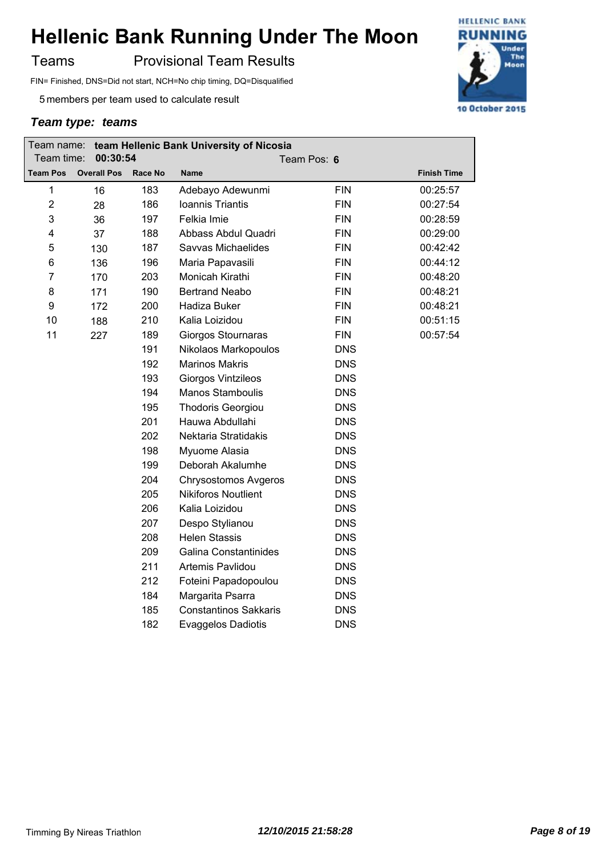Teams **Provisional Team Results** 

FIN= Finished, DNS=Did not start, NCH=No chip timing, DQ=Disqualified

5 members per team used to calculate result

| Team name:      | team Hellenic Bank University of Nicosia |         |                              |            |                    |  |
|-----------------|------------------------------------------|---------|------------------------------|------------|--------------------|--|
| Team time:      | 00:30:54                                 |         | Team Pos: 6                  |            |                    |  |
| <b>Team Pos</b> | <b>Overall Pos</b>                       | Race No | <b>Name</b>                  |            | <b>Finish Time</b> |  |
| 1               | 16                                       | 183     | Adebayo Adewunmi             | <b>FIN</b> | 00:25:57           |  |
| $\overline{2}$  | 28                                       | 186     | Ioannis Triantis             | <b>FIN</b> | 00:27:54           |  |
| 3               | 36                                       | 197     | Felkia Imie                  | <b>FIN</b> | 00:28:59           |  |
| 4               | 37                                       | 188     | Abbass Abdul Quadri          | <b>FIN</b> | 00:29:00           |  |
| 5               | 130                                      | 187     | Savvas Michaelides           | <b>FIN</b> | 00:42:42           |  |
| 6               | 136                                      | 196     | Maria Papavasili             | <b>FIN</b> | 00:44:12           |  |
| 7               | 170                                      | 203     | Monicah Kirathi              | <b>FIN</b> | 00:48:20           |  |
| 8               | 171                                      | 190     | <b>Bertrand Neabo</b>        | <b>FIN</b> | 00:48:21           |  |
| 9               | 172                                      | 200     | Hadiza Buker                 | <b>FIN</b> | 00:48:21           |  |
| 10              | 188                                      | 210     | Kalia Loizidou               | <b>FIN</b> | 00:51:15           |  |
| 11              | 227                                      | 189     | Giorgos Stournaras           | <b>FIN</b> | 00:57:54           |  |
|                 |                                          | 191     | Nikolaos Markopoulos         | <b>DNS</b> |                    |  |
|                 |                                          | 192     | <b>Marinos Makris</b>        | <b>DNS</b> |                    |  |
|                 |                                          | 193     | Giorgos Vintzileos           | <b>DNS</b> |                    |  |
|                 |                                          | 194     | Manos Stamboulis             | <b>DNS</b> |                    |  |
|                 |                                          | 195     | <b>Thodoris Georgiou</b>     | <b>DNS</b> |                    |  |
|                 |                                          | 201     | Hauwa Abdullahi              | <b>DNS</b> |                    |  |
|                 |                                          | 202     | Nektaria Stratidakis         | <b>DNS</b> |                    |  |
|                 |                                          | 198     | Myuome Alasia                | <b>DNS</b> |                    |  |
|                 |                                          | 199     | Deborah Akalumhe             | <b>DNS</b> |                    |  |
|                 |                                          | 204     | <b>Chrysostomos Avgeros</b>  | <b>DNS</b> |                    |  |
|                 |                                          | 205     | <b>Nikiforos Noutlient</b>   | <b>DNS</b> |                    |  |
|                 |                                          | 206     | Kalia Loizidou               | <b>DNS</b> |                    |  |
|                 |                                          | 207     | Despo Stylianou              | <b>DNS</b> |                    |  |
|                 |                                          | 208     | <b>Helen Stassis</b>         | <b>DNS</b> |                    |  |
|                 |                                          | 209     | <b>Galina Constantinides</b> | <b>DNS</b> |                    |  |
|                 |                                          | 211     | Artemis Pavlidou             | <b>DNS</b> |                    |  |
|                 |                                          | 212     | Foteini Papadopoulou         | <b>DNS</b> |                    |  |
|                 |                                          | 184     | Margarita Psarra             | <b>DNS</b> |                    |  |
|                 |                                          | 185     | <b>Constantinos Sakkaris</b> | <b>DNS</b> |                    |  |
|                 |                                          | 182     | <b>Evaggelos Dadiotis</b>    | <b>DNS</b> |                    |  |
|                 |                                          |         |                              |            |                    |  |

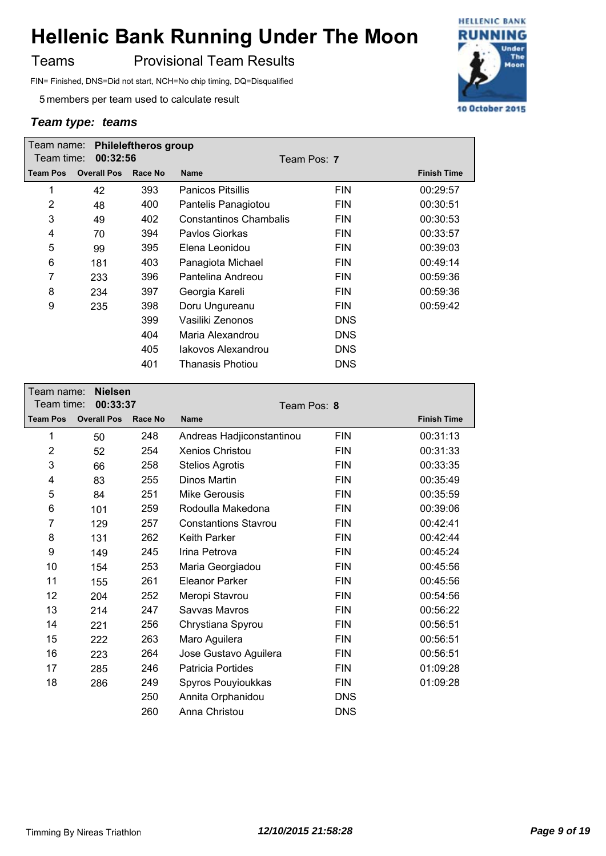Teams **Provisional Team Results** 

FIN= Finished, DNS=Did not start, NCH=No chip timing, DQ=Disqualified

5 members per team used to calculate result

| Team name:      | <b>Phileleftheros group</b> |         |                          |             |                    |
|-----------------|-----------------------------|---------|--------------------------|-------------|--------------------|
| Team time:      | 00:32:56                    |         |                          | Team Pos: 7 |                    |
| <b>Team Pos</b> | <b>Overall Pos</b>          | Race No | <b>Name</b>              |             | <b>Finish Time</b> |
| 1               | 42                          | 393     | <b>Panicos Pitsillis</b> | <b>FIN</b>  | 00:29:57           |
| 2               | 48                          | 400     | Pantelis Panagiotou      | <b>FIN</b>  | 00:30:51           |
| 3               | 49                          | 402     | Constantinos Chambalis   | <b>FIN</b>  | 00:30:53           |
| 4               | 70                          | 394     | Paylos Giorkas           | <b>FIN</b>  | 00:33:57           |
| 5               | 99                          | 395     | Elena Leonidou           | <b>FIN</b>  | 00:39:03           |
| 6               | 181                         | 403     | Panagiota Michael        | <b>FIN</b>  | 00:49:14           |
| 7               | 233                         | 396     | Pantelina Andreou        | <b>FIN</b>  | 00:59:36           |
| 8               | 234                         | 397     | Georgia Kareli           | <b>FIN</b>  | 00:59:36           |
| 9               | 235                         | 398     | Doru Ungureanu           | <b>FIN</b>  | 00:59:42           |
|                 |                             | 399     | Vasiliki Zenonos         | <b>DNS</b>  |                    |
|                 |                             | 404     | Maria Alexandrou         | <b>DNS</b>  |                    |
|                 |                             | 405     | Jakovos Alexandrou       | <b>DNS</b>  |                    |
|                 |                             | 401     | Thanasis Photiou         | <b>DNS</b>  |                    |

| Team name:<br>Team time: | <b>Nielsen</b><br>00:33:37 |         | Team Pos: 8                 |            |                    |  |
|--------------------------|----------------------------|---------|-----------------------------|------------|--------------------|--|
| <b>Team Pos</b>          | <b>Overall Pos</b>         | Race No | <b>Name</b>                 |            | <b>Finish Time</b> |  |
| 1                        | 50                         | 248     | Andreas Hadjiconstantinou   | <b>FIN</b> | 00:31:13           |  |
| 2                        | 52                         | 254     | Xenios Christou             | <b>FIN</b> | 00:31:33           |  |
| 3                        | 66                         | 258     | <b>Stelios Agrotis</b>      | <b>FIN</b> | 00:33:35           |  |
| 4                        | 83                         | 255     | Dinos Martin                | <b>FIN</b> | 00:35:49           |  |
| 5                        | 84                         | 251     | Mike Gerousis               | <b>FIN</b> | 00:35:59           |  |
| 6                        | 101                        | 259     | Rodoulla Makedona           | <b>FIN</b> | 00:39:06           |  |
| 7                        | 129                        | 257     | <b>Constantions Stavrou</b> | <b>FIN</b> | 00:42:41           |  |
| 8                        | 131                        | 262     | <b>Keith Parker</b>         | <b>FIN</b> | 00:42:44           |  |
| 9                        | 149                        | 245     | Irina Petrova               | <b>FIN</b> | 00:45:24           |  |
| 10                       | 154                        | 253     | Maria Georgiadou            | <b>FIN</b> | 00:45:56           |  |
| 11                       | 155                        | 261     | <b>Eleanor Parker</b>       | <b>FIN</b> | 00:45:56           |  |
| 12                       | 204                        | 252     | Meropi Stavrou              | <b>FIN</b> | 00:54:56           |  |
| 13                       | 214                        | 247     | Savvas Mavros               | <b>FIN</b> | 00:56:22           |  |
| 14                       | 221                        | 256     | Chrystiana Spyrou           | <b>FIN</b> | 00:56:51           |  |
| 15                       | 222                        | 263     | Maro Aguilera               | <b>FIN</b> | 00:56:51           |  |
| 16                       | 223                        | 264     | Jose Gustavo Aguilera       | <b>FIN</b> | 00:56:51           |  |
| 17                       | 285                        | 246     | <b>Patricia Portides</b>    | <b>FIN</b> | 01:09:28           |  |
| 18                       | 286                        | 249     | Spyros Pouyioukkas          | <b>FIN</b> | 01:09:28           |  |
|                          |                            | 250     | Annita Orphanidou           | <b>DNS</b> |                    |  |
|                          |                            | 260     | Anna Christou               | <b>DNS</b> |                    |  |

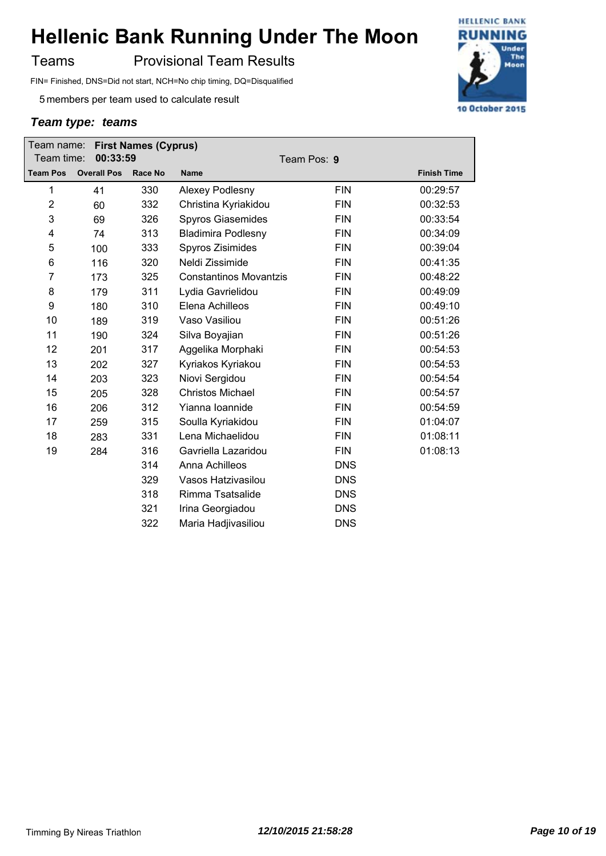Teams **Provisional Team Results** 

FIN= Finished, DNS=Did not start, NCH=No chip timing, DQ=Disqualified

5 members per team used to calculate result

| Team name:       |                    | <b>First Names (Cyprus)</b> |                               |             |                    |
|------------------|--------------------|-----------------------------|-------------------------------|-------------|--------------------|
| Team time:       | 00:33:59           |                             |                               | Team Pos: 9 |                    |
| <b>Team Pos</b>  | <b>Overall Pos</b> | <b>Race No</b>              | <b>Name</b>                   |             | <b>Finish Time</b> |
| 1                | 41                 | 330                         | Alexey Podlesny               | <b>FIN</b>  | 00:29:57           |
| $\overline{2}$   | 60                 | 332                         | Christina Kyriakidou          | <b>FIN</b>  | 00:32:53           |
| 3                | 69                 | 326                         | <b>Spyros Giasemides</b>      | <b>FIN</b>  | 00:33:54           |
| 4                | 74                 | 313                         | <b>Bladimira Podlesny</b>     | <b>FIN</b>  | 00:34:09           |
| 5                | 100                | 333                         | Spyros Zisimides              | <b>FIN</b>  | 00:39:04           |
| 6                | 116                | 320                         | Neldi Zissimide               | <b>FIN</b>  | 00:41:35           |
| $\overline{7}$   | 173                | 325                         | <b>Constantinos Movantzis</b> | <b>FIN</b>  | 00:48:22           |
| 8                | 179                | 311                         | Lydia Gavrielidou             | <b>FIN</b>  | 00:49:09           |
| $\boldsymbol{9}$ | 180                | 310                         | Elena Achilleos               | <b>FIN</b>  | 00:49:10           |
| 10               | 189                | 319                         | Vaso Vasiliou                 | <b>FIN</b>  | 00:51:26           |
| 11               | 190                | 324                         | Silva Boyajian                | <b>FIN</b>  | 00:51:26           |
| 12               | 201                | 317                         | Aggelika Morphaki             | <b>FIN</b>  | 00:54:53           |
| 13               | 202                | 327                         | Kyriakos Kyriakou             | <b>FIN</b>  | 00:54:53           |
| 14               | 203                | 323                         | Niovi Sergidou                | <b>FIN</b>  | 00:54:54           |
| 15               | 205                | 328                         | <b>Christos Michael</b>       | <b>FIN</b>  | 00:54:57           |
| 16               | 206                | 312                         | Yianna Ioannide               | <b>FIN</b>  | 00:54:59           |
| 17               | 259                | 315                         | Soulla Kyriakidou             | <b>FIN</b>  | 01:04:07           |
| 18               | 283                | 331                         | Lena Michaelidou              | <b>FIN</b>  | 01:08:11           |
| 19               | 284                | 316                         | Gavriella Lazaridou           | <b>FIN</b>  | 01:08:13           |
|                  |                    | 314                         | Anna Achilleos                | <b>DNS</b>  |                    |
|                  |                    | 329                         | Vasos Hatzivasilou            | <b>DNS</b>  |                    |
|                  |                    | 318                         | Rimma Tsatsalide              | <b>DNS</b>  |                    |
|                  |                    | 321                         | Irina Georgiadou              | <b>DNS</b>  |                    |
|                  |                    | 322                         | Maria Hadjivasiliou           | <b>DNS</b>  |                    |

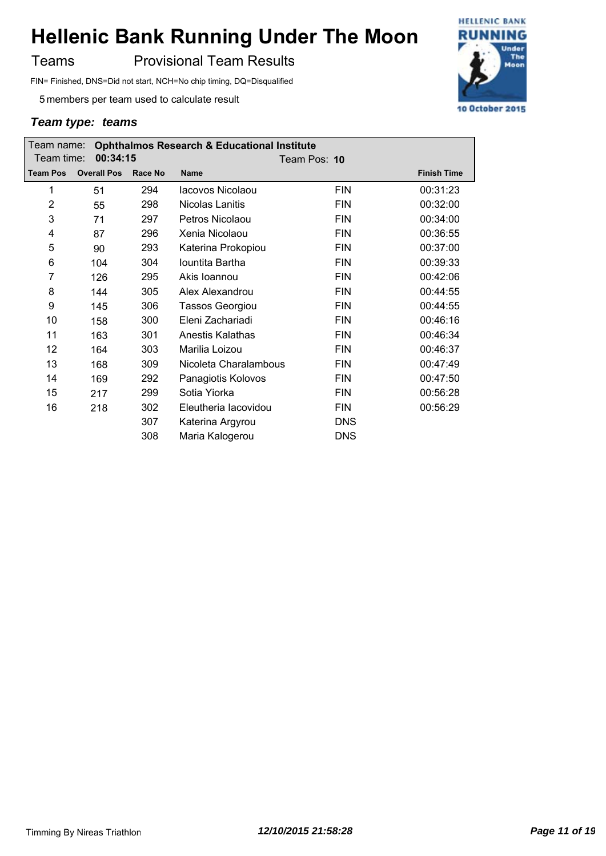Teams **Provisional Team Results** 

FIN= Finished, DNS=Did not start, NCH=No chip timing, DQ=Disqualified

5 members per team used to calculate result

| <b>Ophthalmos Research &amp; Educational Institute</b><br>Team name: |                    |         |                        |              |                    |
|----------------------------------------------------------------------|--------------------|---------|------------------------|--------------|--------------------|
| Team time:                                                           | 00:34:15           |         |                        | Team Pos: 10 |                    |
| <b>Team Pos</b>                                                      | <b>Overall Pos</b> | Race No | <b>Name</b>            |              | <b>Finish Time</b> |
| 1                                                                    | 51                 | 294     | lacovos Nicolaou       | <b>FIN</b>   | 00:31:23           |
| $\overline{2}$                                                       | 55                 | 298     | Nicolas Lanitis        | <b>FIN</b>   | 00:32:00           |
| 3                                                                    | 71                 | 297     | Petros Nicolaou        | <b>FIN</b>   | 00:34:00           |
| 4                                                                    | 87                 | 296     | Xenia Nicolaou         | <b>FIN</b>   | 00:36:55           |
| 5                                                                    | 90                 | 293     | Katerina Prokopiou     | <b>FIN</b>   | 00:37:00           |
| 6                                                                    | 104                | 304     | Iountita Bartha        | <b>FIN</b>   | 00:39:33           |
| 7                                                                    | 126                | 295     | Akis Ioannou           | <b>FIN</b>   | 00:42:06           |
| 8                                                                    | 144                | 305     | Alex Alexandrou        | <b>FIN</b>   | 00:44:55           |
| 9                                                                    | 145                | 306     | <b>Tassos Georgiou</b> | <b>FIN</b>   | 00:44:55           |
| 10                                                                   | 158                | 300     | Eleni Zachariadi       | <b>FIN</b>   | 00:46:16           |
| 11                                                                   | 163                | 301     | Anestis Kalathas       | <b>FIN</b>   | 00:46:34           |
| 12                                                                   | 164                | 303     | Marilia Loizou         | <b>FIN</b>   | 00:46:37           |
| 13                                                                   | 168                | 309     | Nicoleta Charalambous  | <b>FIN</b>   | 00:47:49           |
| 14                                                                   | 169                | 292     | Panagiotis Kolovos     | <b>FIN</b>   | 00:47:50           |
| 15                                                                   | 217                | 299     | Sotia Yiorka           | <b>FIN</b>   | 00:56:28           |
| 16                                                                   | 218                | 302     | Eleutheria lacovidou   | <b>FIN</b>   | 00:56:29           |
|                                                                      |                    | 307     | Katerina Argyrou       | <b>DNS</b>   |                    |
|                                                                      |                    | 308     | Maria Kalogerou        | <b>DNS</b>   |                    |

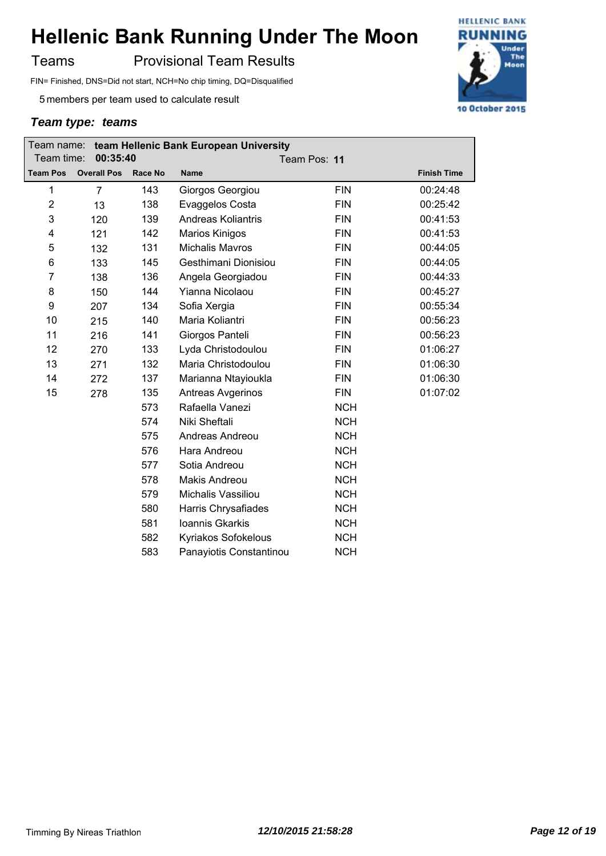Teams **Provisional Team Results** 

FIN= Finished, DNS=Did not start, NCH=No chip timing, DQ=Disqualified

5 members per team used to calculate result

|                         | team Hellenic Bank European University<br>Team name: |                |                           |              |                    |  |
|-------------------------|------------------------------------------------------|----------------|---------------------------|--------------|--------------------|--|
| Team time:              | 00:35:40                                             |                |                           | Team Pos: 11 |                    |  |
| <b>Team Pos</b>         | <b>Overall Pos</b>                                   | <b>Race No</b> | <b>Name</b>               |              | <b>Finish Time</b> |  |
| 1                       | $\overline{7}$                                       | 143            | Giorgos Georgiou          | <b>FIN</b>   | 00:24:48           |  |
| $\overline{\mathbf{c}}$ | 13                                                   | 138            | Evaggelos Costa           | <b>FIN</b>   | 00:25:42           |  |
| 3                       | 120                                                  | 139            | <b>Andreas Koliantris</b> | <b>FIN</b>   | 00:41:53           |  |
| 4                       | 121                                                  | 142            | <b>Marios Kinigos</b>     | <b>FIN</b>   | 00:41:53           |  |
| 5                       | 132                                                  | 131            | <b>Michalis Mavros</b>    | <b>FIN</b>   | 00:44:05           |  |
| 6                       | 133                                                  | 145            | Gesthimani Dionisiou      | <b>FIN</b>   | 00:44:05           |  |
| $\overline{7}$          | 138                                                  | 136            | Angela Georgiadou         | <b>FIN</b>   | 00:44:33           |  |
| 8                       | 150                                                  | 144            | Yianna Nicolaou           | <b>FIN</b>   | 00:45:27           |  |
| 9                       | 207                                                  | 134            | Sofia Xergia              | <b>FIN</b>   | 00:55:34           |  |
| 10                      | 215                                                  | 140            | Maria Koliantri           | <b>FIN</b>   | 00:56:23           |  |
| 11                      | 216                                                  | 141            | Giorgos Panteli           | <b>FIN</b>   | 00:56:23           |  |
| 12                      | 270                                                  | 133            | Lyda Christodoulou        | <b>FIN</b>   | 01:06:27           |  |
| 13                      | 271                                                  | 132            | Maria Christodoulou       | <b>FIN</b>   | 01:06:30           |  |
| 14                      | 272                                                  | 137            | Marianna Ntayioukla       | <b>FIN</b>   | 01:06:30           |  |
| 15                      | 278                                                  | 135            | Antreas Avgerinos         | <b>FIN</b>   | 01:07:02           |  |
|                         |                                                      | 573            | Rafaella Vanezi           | <b>NCH</b>   |                    |  |
|                         |                                                      | 574            | Niki Sheftali             | <b>NCH</b>   |                    |  |
|                         |                                                      | 575            | Andreas Andreou           | <b>NCH</b>   |                    |  |
|                         |                                                      | 576            | Hara Andreou              | <b>NCH</b>   |                    |  |
|                         |                                                      | 577            | Sotia Andreou             | <b>NCH</b>   |                    |  |
|                         |                                                      | 578            | <b>Makis Andreou</b>      | <b>NCH</b>   |                    |  |
|                         |                                                      | 579            | Michalis Vassiliou        | <b>NCH</b>   |                    |  |
|                         |                                                      | 580            | Harris Chrysafiades       | <b>NCH</b>   |                    |  |
|                         |                                                      | 581            | Ioannis Gkarkis           | <b>NCH</b>   |                    |  |
|                         |                                                      | 582            | Kyriakos Sofokelous       | <b>NCH</b>   |                    |  |
|                         |                                                      | 583            | Panayiotis Constantinou   | <b>NCH</b>   |                    |  |

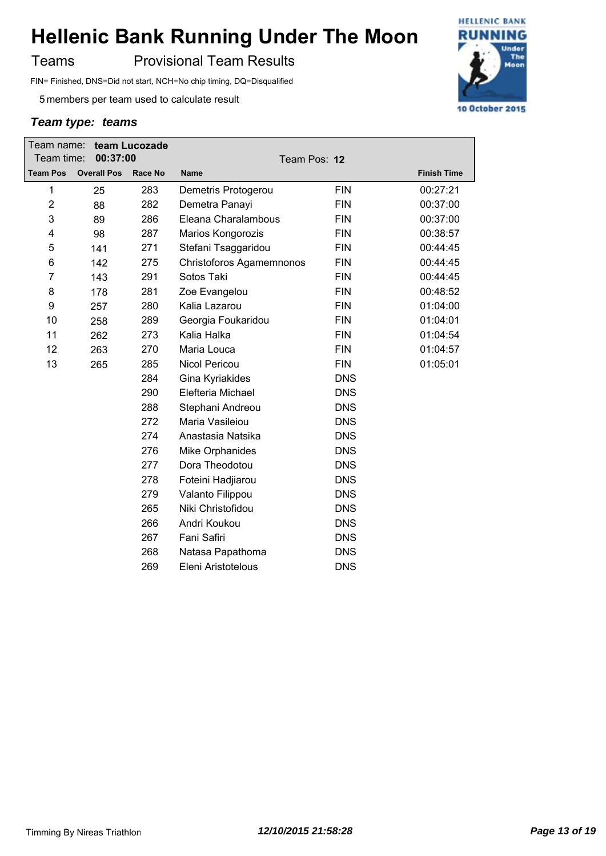Teams **Provisional Team Results** 

FIN= Finished, DNS=Did not start, NCH=No chip timing, DQ=Disqualified

5 members per team used to calculate result

| Team time:      | Team name: team Lucozade<br>00:37:00 |         | Team Pos: 12             |            |                    |
|-----------------|--------------------------------------|---------|--------------------------|------------|--------------------|
| <b>Team Pos</b> | <b>Overall Pos</b>                   | Race No | <b>Name</b>              |            | <b>Finish Time</b> |
| 1               | 25                                   | 283     | Demetris Protogerou      | <b>FIN</b> | 00:27:21           |
| $\overline{2}$  | 88                                   | 282     | Demetra Panayi           | <b>FIN</b> | 00:37:00           |
| 3               | 89                                   | 286     | Eleana Charalambous      | <b>FIN</b> | 00:37:00           |
| 4               | 98                                   | 287     | Marios Kongorozis        | <b>FIN</b> | 00:38:57           |
| 5               | 141                                  | 271     | Stefani Tsaggaridou      | <b>FIN</b> | 00:44:45           |
| 6               | 142                                  | 275     | Christoforos Agamemnonos | <b>FIN</b> | 00:44:45           |
| 7               | 143                                  | 291     | Sotos Taki               | <b>FIN</b> | 00:44:45           |
| 8               | 178                                  | 281     | Zoe Evangelou            | <b>FIN</b> | 00:48:52           |
| 9               | 257                                  | 280     | Kalia Lazarou            | <b>FIN</b> | 01:04:00           |
| 10              | 258                                  | 289     | Georgia Foukaridou       | <b>FIN</b> | 01:04:01           |
| 11              | 262                                  | 273     | Kalia Halka              | <b>FIN</b> | 01:04:54           |
| 12              | 263                                  | 270     | Maria Louca              | <b>FIN</b> | 01:04:57           |
| 13              | 265                                  | 285     | Nicol Pericou            | <b>FIN</b> | 01:05:01           |
|                 |                                      | 284     | Gina Kyriakides          | <b>DNS</b> |                    |
|                 |                                      | 290     | Elefteria Michael        | <b>DNS</b> |                    |
|                 |                                      | 288     | Stephani Andreou         | <b>DNS</b> |                    |
|                 |                                      | 272     | Maria Vasileiou          | <b>DNS</b> |                    |
|                 |                                      | 274     | Anastasia Natsika        | <b>DNS</b> |                    |
|                 |                                      | 276     | Mike Orphanides          | <b>DNS</b> |                    |
|                 |                                      | 277     | Dora Theodotou           | <b>DNS</b> |                    |
|                 |                                      | 278     | Foteini Hadjiarou        | <b>DNS</b> |                    |
|                 |                                      | 279     | Valanto Filippou         | <b>DNS</b> |                    |
|                 |                                      | 265     | Niki Christofidou        | <b>DNS</b> |                    |
|                 |                                      | 266     | Andri Koukou             | <b>DNS</b> |                    |
|                 |                                      | 267     | Fani Safiri              | <b>DNS</b> |                    |
|                 |                                      | 268     | Natasa Papathoma         | <b>DNS</b> |                    |
|                 |                                      | 269     | Eleni Aristotelous       | <b>DNS</b> |                    |
|                 |                                      |         |                          |            |                    |

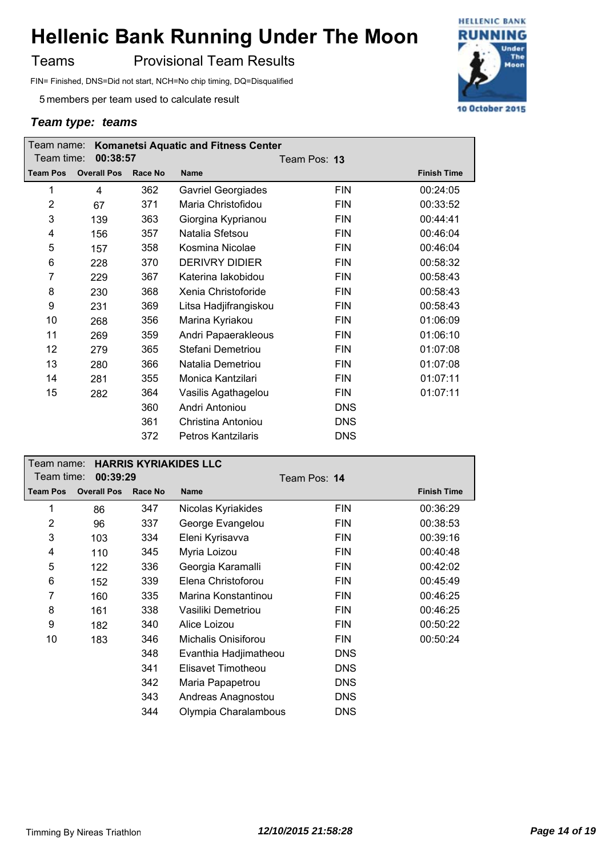Teams **Provisional Team Results** 

FIN= Finished, DNS=Did not start, NCH=No chip timing, DQ=Disqualified

5 members per team used to calculate result

| <b>Komanetsi Aquatic and Fitness Center</b><br>Team name: |                    |         |                           |              |                    |  |
|-----------------------------------------------------------|--------------------|---------|---------------------------|--------------|--------------------|--|
| Team time:                                                | 00:38:57           |         |                           | Team Pos: 13 |                    |  |
| <b>Team Pos</b>                                           | <b>Overall Pos</b> | Race No | <b>Name</b>               |              | <b>Finish Time</b> |  |
| 1                                                         | 4                  | 362     | <b>Gavriel Georgiades</b> | <b>FIN</b>   | 00:24:05           |  |
| $\overline{2}$                                            | 67                 | 371     | Maria Christofidou        | <b>FIN</b>   | 00:33:52           |  |
| 3                                                         | 139                | 363     | Giorgina Kyprianou        | <b>FIN</b>   | 00:44:41           |  |
| 4                                                         | 156                | 357     | Natalia Sfetsou           | <b>FIN</b>   | 00:46:04           |  |
| 5                                                         | 157                | 358     | Kosmina Nicolae           | <b>FIN</b>   | 00:46:04           |  |
| 6                                                         | 228                | 370     | <b>DERIVRY DIDIER</b>     | <b>FIN</b>   | 00:58:32           |  |
| 7                                                         | 229                | 367     | Katerina lakobidou        | <b>FIN</b>   | 00:58:43           |  |
| 8                                                         | 230                | 368     | Xenia Christoforide       | <b>FIN</b>   | 00:58:43           |  |
| 9                                                         | 231                | 369     | Litsa Hadjifrangiskou     | <b>FIN</b>   | 00:58:43           |  |
| 10                                                        | 268                | 356     | Marina Kyriakou           | <b>FIN</b>   | 01:06:09           |  |
| 11                                                        | 269                | 359     | Andri Papaerakleous       | <b>FIN</b>   | 01:06:10           |  |
| 12                                                        | 279                | 365     | Stefani Demetriou         | <b>FIN</b>   | 01:07:08           |  |
| 13                                                        | 280                | 366     | Natalia Demetriou         | <b>FIN</b>   | 01:07:08           |  |
| 14                                                        | 281                | 355     | Monica Kantzilari         | <b>FIN</b>   | 01:07:11           |  |
| 15                                                        | 282                | 364     | Vasilis Agathagelou       | <b>FIN</b>   | 01:07:11           |  |
|                                                           |                    | 360     | Andri Antoniou            | <b>DNS</b>   |                    |  |
|                                                           |                    | 361     | Christina Antoniou        | <b>DNS</b>   |                    |  |
|                                                           |                    | 372     | <b>Petros Kantzilaris</b> | <b>DNS</b>   |                    |  |

| <b>HARRIS KYRIAKIDES LLC</b><br>Team name: |                    |         |                       |              |                    |
|--------------------------------------------|--------------------|---------|-----------------------|--------------|--------------------|
| Team time:                                 | 00:39:29           |         |                       | Team Pos: 14 |                    |
| <b>Team Pos</b>                            | <b>Overall Pos</b> | Race No | <b>Name</b>           |              | <b>Finish Time</b> |
| 1                                          | 86                 | 347     | Nicolas Kyriakides    | <b>FIN</b>   | 00:36:29           |
| 2                                          | 96                 | 337     | George Evangelou      | FIN          | 00:38:53           |
| 3                                          | 103                | 334     | Eleni Kyrisavva       | <b>FIN</b>   | 00:39:16           |
| 4                                          | 110                | 345     | Myria Loizou          | <b>FIN</b>   | 00:40:48           |
| 5                                          | 122                | 336     | Georgia Karamalli     | <b>FIN</b>   | 00:42:02           |
| 6                                          | 152                | 339     | Elena Christoforou    | <b>FIN</b>   | 00:45:49           |
| 7                                          | 160                | 335     | Marina Konstantinou   | <b>FIN</b>   | 00:46:25           |
| 8                                          | 161                | 338     | Vasiliki Demetriou    | <b>FIN</b>   | 00:46:25           |
| 9                                          | 182                | 340     | Alice Loizou          | FIN          | 00:50:22           |
| 10                                         | 183                | 346     | Michalis Onisiforou   | FIN          | 00:50:24           |
|                                            |                    | 348     | Evanthia Hadjimatheou | <b>DNS</b>   |                    |
|                                            |                    | 341     | Elisavet Timotheou    | <b>DNS</b>   |                    |
|                                            |                    | 342     | Maria Papapetrou      | <b>DNS</b>   |                    |
|                                            |                    | 343     | Andreas Anagnostou    | <b>DNS</b>   |                    |
|                                            |                    | 344     | Olympia Charalambous  | <b>DNS</b>   |                    |

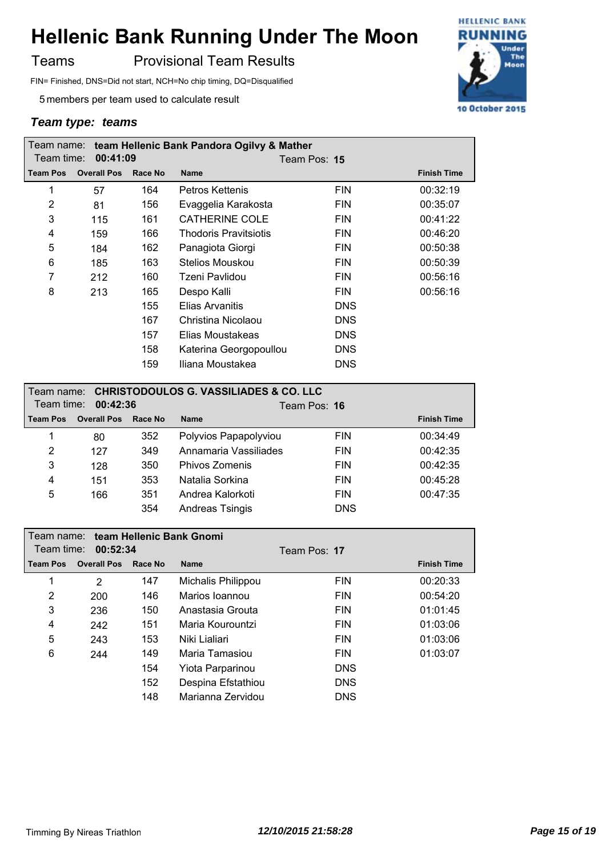Teams **Provisional Team Results** 

FIN= Finished, DNS=Did not start, NCH=No chip timing, DQ=Disqualified

5 members per team used to calculate result

|                 |                    |         | Team name: team Hellenic Bank Pandora Ogilvy & Mather |              |                    |
|-----------------|--------------------|---------|-------------------------------------------------------|--------------|--------------------|
| Team time:      | 00:41:09           |         |                                                       | Team Pos: 15 |                    |
| <b>Team Pos</b> | <b>Overall Pos</b> | Race No | <b>Name</b>                                           |              | <b>Finish Time</b> |
| 1               | 57                 | 164     | Petros Kettenis                                       | <b>FIN</b>   | 00:32:19           |
| 2               | 81                 | 156     | Evaggelia Karakosta                                   | <b>FIN</b>   | 00:35:07           |
| 3               | 115                | 161     | <b>CATHERINE COLE</b>                                 | <b>FIN</b>   | 00:41:22           |
| 4               | 159                | 166     | <b>Thodoris Pravitsiotis</b>                          | <b>FIN</b>   | 00:46:20           |
| 5               | 184                | 162     | Panagiota Giorgi                                      | <b>FIN</b>   | 00:50:38           |
| 6               | 185                | 163     | Stelios Mouskou                                       | <b>FIN</b>   | 00:50:39           |
| 7               | 212                | 160     | Tzeni Pavlidou                                        | <b>FIN</b>   | 00:56:16           |
| 8               | 213                | 165     | Despo Kalli                                           | <b>FIN</b>   | 00:56:16           |
|                 |                    | 155     | <b>Elias Arvanitis</b>                                | <b>DNS</b>   |                    |
|                 |                    | 167     | Christina Nicolaou                                    | <b>DNS</b>   |                    |
|                 |                    | 157     | Elias Moustakeas                                      | <b>DNS</b>   |                    |
|                 |                    | 158     | Katerina Georgopoullou                                | <b>DNS</b>   |                    |
|                 |                    | 159     | Iliana Moustakea                                      | <b>DNS</b>   |                    |

| Team name: CHRISTODOULOS G. VASSILIADES & CO. LLC<br>Team time:<br>00:42:36 |                    |         | Team Pos: 16           |            |                    |
|-----------------------------------------------------------------------------|--------------------|---------|------------------------|------------|--------------------|
| <b>Team Pos</b>                                                             | <b>Overall Pos</b> | Race No | <b>Name</b>            |            | <b>Finish Time</b> |
| 1                                                                           | 80                 | 352     | Polyvios Papapolyviou  | <b>FIN</b> | 00:34:49           |
| 2                                                                           | 127                | 349     | Annamaria Vassiliades  | <b>FIN</b> | 00:42:35           |
| 3                                                                           | 128                | 350     | Phivos Zomenis         | <b>FIN</b> | 00:42:35           |
| 4                                                                           | 151                | 353     | Natalia Sorkina        | <b>FIN</b> | 00:45:28           |
| 5                                                                           | 166                | 351     | Andrea Kalorkoti       | <b>FIN</b> | 00:47:35           |
|                                                                             |                    | 354     | <b>Andreas Tsingis</b> | <b>DNS</b> |                    |

|                 | Team name: team Hellenic Bank Gnomi |                |                    |              |                    |  |  |  |
|-----------------|-------------------------------------|----------------|--------------------|--------------|--------------------|--|--|--|
| Team time:      | 00:52:34                            |                |                    | Team Pos: 17 |                    |  |  |  |
| <b>Team Pos</b> | <b>Overall Pos</b>                  | <b>Race No</b> | <b>Name</b>        |              | <b>Finish Time</b> |  |  |  |
| 1               | 2                                   | 147            | Michalis Philippou | <b>FIN</b>   | 00:20:33           |  |  |  |
| 2               | 200                                 | 146            | Marios Ioannou     | <b>FIN</b>   | 00:54:20           |  |  |  |
| 3               | 236                                 | 150            | Anastasia Grouta   | <b>FIN</b>   | 01:01:45           |  |  |  |
| 4               | 242                                 | 151            | Maria Kourountzi   | <b>FIN</b>   | 01:03:06           |  |  |  |
| 5               | 243                                 | 153            | Niki Lialiari      | <b>FIN</b>   | 01:03:06           |  |  |  |
| 6               | 244                                 | 149            | Maria Tamasiou     | <b>FIN</b>   | 01:03:07           |  |  |  |
|                 |                                     | 154            | Yiota Parparinou   | <b>DNS</b>   |                    |  |  |  |
|                 |                                     | 152            | Despina Efstathiou | <b>DNS</b>   |                    |  |  |  |
|                 |                                     | 148            | Marianna Zervidou  | <b>DNS</b>   |                    |  |  |  |

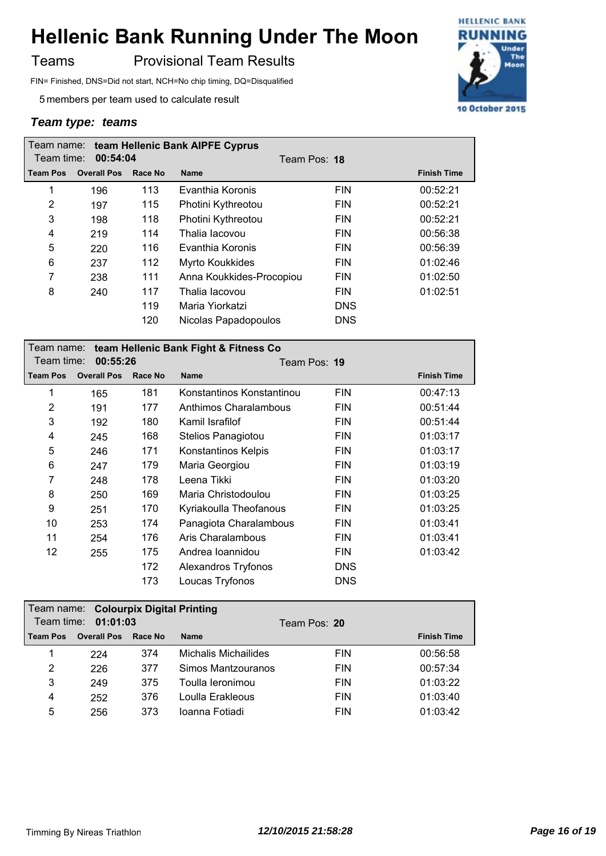Teams **Provisional Team Results** 

FIN= Finished, DNS=Did not start, NCH=No chip timing, DQ=Disqualified

5 members per team used to calculate result

|            |                    |         | Team name: team Hellenic Bank AIPFE Cyprus |            |                    |
|------------|--------------------|---------|--------------------------------------------|------------|--------------------|
| Team time: | 00:54:04           |         | Team Pos: 18                               |            |                    |
| Team Pos   | <b>Overall Pos</b> | Race No | <b>Name</b>                                |            | <b>Finish Time</b> |
| 1          | 196                | 113     | Evanthia Koronis                           | <b>FIN</b> | 00:52:21           |
| 2          | 197                | 115     | Photini Kythreotou                         | <b>FIN</b> | 00:52:21           |
| 3          | 198                | 118     | Photini Kythreotou                         | <b>FIN</b> | 00:52:21           |
| 4          | 219                | 114     | Thalia lacovou                             | <b>FIN</b> | 00:56:38           |
| 5          | 220                | 116     | Evanthia Koronis                           | <b>FIN</b> | 00:56:39           |
| 6          | 237                | 112     | Myrto Koukkides                            | <b>FIN</b> | 01:02:46           |
| 7          | 238                | 111     | Anna Koukkides-Procopiou                   | <b>FIN</b> | 01:02:50           |
| 8          | 240                | 117     | Thalia Iacovou                             | <b>FIN</b> | 01:02:51           |
|            |                    | 119     | Maria Yiorkatzi                            | <b>DNS</b> |                    |
|            |                    | 120     | Nicolas Papadopoulos                       | <b>DNS</b> |                    |

|                 | Team name: team Hellenic Bank Fight & Fitness Co |         |                           |            |                    |  |  |  |
|-----------------|--------------------------------------------------|---------|---------------------------|------------|--------------------|--|--|--|
| Team time:      | 00:55:26                                         |         | Team Pos: 19              |            |                    |  |  |  |
| <b>Team Pos</b> | <b>Overall Pos</b>                               | Race No | <b>Name</b>               |            | <b>Finish Time</b> |  |  |  |
| 1               | 165                                              | 181     | Konstantinos Konstantinou | <b>FIN</b> | 00:47:13           |  |  |  |
| $\overline{2}$  | 191                                              | 177     | Anthimos Charalambous     | <b>FIN</b> | 00:51:44           |  |  |  |
| 3               | 192                                              | 180     | Kamil Israfilof           | <b>FIN</b> | 00:51:44           |  |  |  |
| 4               | 245                                              | 168     | Stelios Panagiotou        | <b>FIN</b> | 01:03:17           |  |  |  |
| 5               | 246                                              | 171     | Konstantinos Kelpis       | <b>FIN</b> | 01:03:17           |  |  |  |
| 6               | 247                                              | 179     | Maria Georgiou            | <b>FIN</b> | 01:03:19           |  |  |  |
| 7               | 248                                              | 178     | Leena Tikki               | <b>FIN</b> | 01:03:20           |  |  |  |
| 8               | 250                                              | 169     | Maria Christodoulou       | <b>FIN</b> | 01:03:25           |  |  |  |
| 9               | 251                                              | 170     | Kyriakoulla Theofanous    | <b>FIN</b> | 01:03:25           |  |  |  |
| 10              | 253                                              | 174     | Panagiota Charalambous    | <b>FIN</b> | 01:03:41           |  |  |  |
| 11              | 254                                              | 176     | Aris Charalambous         | <b>FIN</b> | 01:03:41           |  |  |  |
| 12              | 255                                              | 175     | Andrea Ioannidou          | <b>FIN</b> | 01:03:42           |  |  |  |
|                 |                                                  | 172     | Alexandros Tryfonos       | <b>DNS</b> |                    |  |  |  |
|                 |                                                  | 173     | Loucas Tryfonos           | <b>DNS</b> |                    |  |  |  |
|                 |                                                  |         |                           |            |                    |  |  |  |

| Team name: Colourpix Digital Printing |                    |         |                      |            |                    |  |  |  |
|---------------------------------------|--------------------|---------|----------------------|------------|--------------------|--|--|--|
| Team time:<br>01:01:03                |                    |         | Team Pos: 20         |            |                    |  |  |  |
| <b>Team Pos</b>                       | <b>Overall Pos</b> | Race No | <b>Name</b>          |            | <b>Finish Time</b> |  |  |  |
|                                       | 224                | 374     | Michalis Michailides | <b>FIN</b> | 00:56:58           |  |  |  |
| 2                                     | 226                | 377     | Simos Mantzouranos   | <b>FIN</b> | 00:57:34           |  |  |  |
| 3                                     | 249                | 375     | Toulla leronimou     | <b>FIN</b> | 01:03:22           |  |  |  |
| 4                                     | 252                | 376     | Loulla Erakleous     | <b>FIN</b> | 01:03:40           |  |  |  |
| 5                                     | 256                | 373     | Ioanna Fotiadi       | <b>FIN</b> | 01:03:42           |  |  |  |

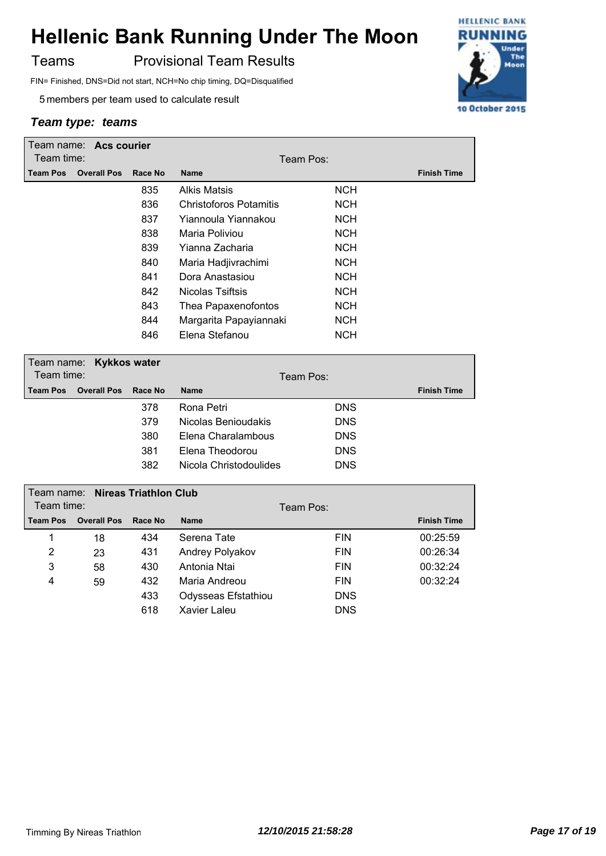Teams **Provisional Team Results** 

FIN= Finished, DNS=Did not start, NCH=No chip timing, DQ=Disqualified

5 members per team used to calculate result

| Team name: Acs courier |                    |         |                        |            |                    |
|------------------------|--------------------|---------|------------------------|------------|--------------------|
| Team time:             |                    |         | Team Pos:              |            |                    |
| <b>Team Pos</b>        | <b>Overall Pos</b> | Race No | <b>Name</b>            |            | <b>Finish Time</b> |
|                        |                    | 835     | Alkis Matsis           | <b>NCH</b> |                    |
|                        |                    | 836     | Christoforos Potamitis | <b>NCH</b> |                    |
|                        |                    | 837     | Yiannoula Yiannakou    | <b>NCH</b> |                    |
|                        |                    | 838     | Maria Poliviou         | <b>NCH</b> |                    |
|                        |                    | 839     | Yianna Zacharia        | <b>NCH</b> |                    |
|                        |                    | 840     | Maria Hadjivrachimi    | <b>NCH</b> |                    |
|                        |                    | 841     | Dora Anastasiou        | <b>NCH</b> |                    |
|                        |                    | 842     | Nicolas Tsiftsis       | <b>NCH</b> |                    |
|                        |                    | 843     | Thea Papaxenofontos    | <b>NCH</b> |                    |
|                        |                    | 844     | Margarita Papayiannaki | <b>NCH</b> |                    |
|                        |                    | 846     | Elena Stefanou         | <b>NCH</b> |                    |
|                        |                    |         |                        |            |                    |

| Team name: Kykkos water<br>Team time: |                    |         |                        | Team Pos:  |                    |
|---------------------------------------|--------------------|---------|------------------------|------------|--------------------|
| <b>Team Pos</b>                       | <b>Overall Pos</b> | Race No | <b>Name</b>            |            | <b>Finish Time</b> |
|                                       |                    | 378     | Rona Petri             | <b>DNS</b> |                    |
|                                       |                    | 379     | Nicolas Benioudakis    | <b>DNS</b> |                    |
|                                       |                    | 380     | Elena Charalambous     | <b>DNS</b> |                    |
|                                       |                    | 381     | Elena Theodorou        | <b>DNS</b> |                    |
|                                       |                    | 382     | Nicola Christodoulides | <b>DNS</b> |                    |

| Team name: Nireas Triathlon Club |                    |         |                     |            |                    |  |
|----------------------------------|--------------------|---------|---------------------|------------|--------------------|--|
| Team time:                       |                    |         |                     | Team Pos:  |                    |  |
| <b>Team Pos</b>                  | <b>Overall Pos</b> | Race No | <b>Name</b>         |            | <b>Finish Time</b> |  |
| 1                                | 18                 | 434     | Serena Tate         | <b>FIN</b> | 00:25:59           |  |
| 2                                | 23                 | 431     | Andrey Polyakov     | <b>FIN</b> | 00:26:34           |  |
| 3                                | 58                 | 430     | Antonia Ntai        | <b>FIN</b> | 00:32:24           |  |
| 4                                | 59                 | 432     | Maria Andreou       | <b>FIN</b> | 00:32:24           |  |
|                                  |                    | 433     | Odysseas Efstathiou | <b>DNS</b> |                    |  |
|                                  |                    | 618     | Xavier Laleu        | <b>DNS</b> |                    |  |

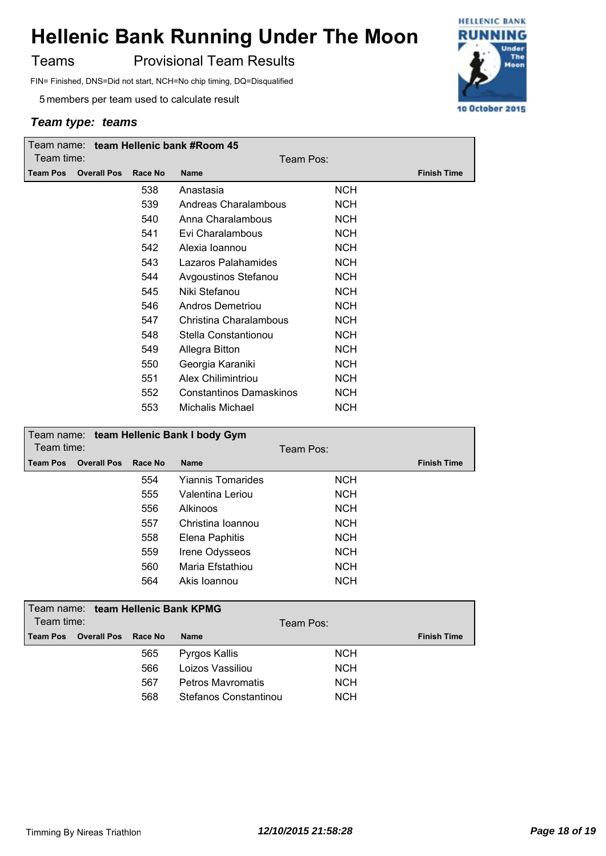Teams **Provisional Team Results** 

FIN= Finished, DNS=Did not start, NCH=No chip timing, DQ=Disqualified

5 members per team used to calculate result

| Team name: team Hellenic bank #Room 45 |                    |         |                                |            |                    |  |
|----------------------------------------|--------------------|---------|--------------------------------|------------|--------------------|--|
| Team time:                             |                    |         | Team Pos:                      |            |                    |  |
| <b>Team Pos</b>                        | <b>Overall Pos</b> | Race No | <b>Name</b>                    |            | <b>Finish Time</b> |  |
|                                        |                    | 538     | Anastasia                      | <b>NCH</b> |                    |  |
|                                        |                    | 539     | Andreas Charalambous           | <b>NCH</b> |                    |  |
|                                        |                    | 540     | Anna Charalambous              | <b>NCH</b> |                    |  |
|                                        |                    | 541     | Evi Charalambous               | <b>NCH</b> |                    |  |
|                                        |                    | 542     | Alexia Ioannou                 | <b>NCH</b> |                    |  |
|                                        |                    | 543     | Lazaros Palahamides            | <b>NCH</b> |                    |  |
|                                        |                    | 544     | Avgoustinos Stefanou           | <b>NCH</b> |                    |  |
|                                        |                    | 545     | Niki Stefanou                  | <b>NCH</b> |                    |  |
|                                        |                    | 546     | Andros Demetriou               | <b>NCH</b> |                    |  |
|                                        |                    | 547     | Christina Charalambous         | <b>NCH</b> |                    |  |
|                                        |                    | 548     | Stella Constantionou           | <b>NCH</b> |                    |  |
|                                        |                    | 549     | <b>Allegra Bitton</b>          | <b>NCH</b> |                    |  |
|                                        |                    | 550     | Georgia Karaniki               | <b>NCH</b> |                    |  |
|                                        |                    | 551     | Alex Chilimintriou             | <b>NCH</b> |                    |  |
|                                        |                    | 552     | <b>Constantinos Damaskinos</b> | <b>NCH</b> |                    |  |
|                                        |                    | 553     | Michalis Michael               | <b>NCH</b> |                    |  |
|                                        |                    |         |                                |            |                    |  |

| Team name: team Hellenic Bank I body Gym |                    |         |                          |            |                    |
|------------------------------------------|--------------------|---------|--------------------------|------------|--------------------|
| Team time:<br>Team Pos:                  |                    |         |                          |            |                    |
| <b>Team Pos</b>                          | <b>Overall Pos</b> | Race No | <b>Name</b>              |            | <b>Finish Time</b> |
|                                          |                    | 554     | <b>Yiannis Tomarides</b> | <b>NCH</b> |                    |
|                                          |                    | 555     | Valentina Leriou         | <b>NCH</b> |                    |
|                                          |                    | 556     | <b>Alkinoos</b>          | <b>NCH</b> |                    |
|                                          |                    | 557     | Christina Ioannou        | <b>NCH</b> |                    |
|                                          |                    | 558     | Elena Paphitis           | <b>NCH</b> |                    |
|                                          |                    | 559     | Irene Odysseos           | <b>NCH</b> |                    |
|                                          |                    | 560     | Maria Efstathiou         | <b>NCH</b> |                    |
|                                          |                    | 564     | Akis Ioannou             | <b>NCH</b> |                    |
|                                          |                    |         |                          |            |                    |
| Team name:                               |                    |         | team Hellenic Bank KPMG  |            |                    |
| Team time:                               |                    |         |                          | Team Pos:  |                    |
| <b>Team Pos</b>                          | <b>Overall Pos</b> | Race No | <b>Name</b>              |            | <b>Finish Time</b> |
|                                          |                    | 565     | Pyrgos Kallis            | <b>NCH</b> |                    |
|                                          |                    | 566     | Loizos Vassiliou         | <b>NCH</b> |                    |
|                                          |                    | 567     | Petros Mayromatis        | <b>NCH</b> |                    |
|                                          |                    | 568     | Stefanos Constantinou    | NCH        |                    |